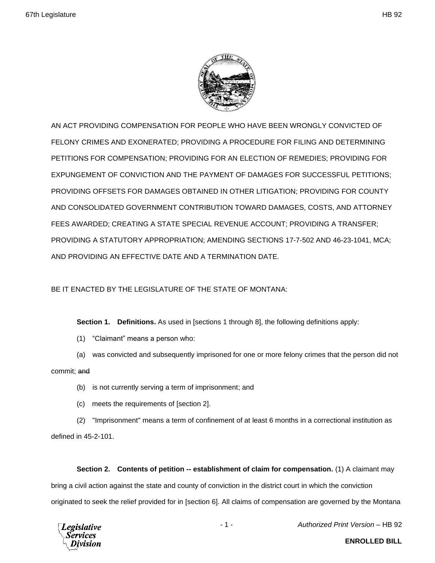

AN ACT PROVIDING COMPENSATION FOR PEOPLE WHO HAVE BEEN WRONGLY CONVICTED OF FELONY CRIMES AND EXONERATED; PROVIDING A PROCEDURE FOR FILING AND DETERMINING PETITIONS FOR COMPENSATION; PROVIDING FOR AN ELECTION OF REMEDIES; PROVIDING FOR EXPUNGEMENT OF CONVICTION AND THE PAYMENT OF DAMAGES FOR SUCCESSFUL PETITIONS; PROVIDING OFFSETS FOR DAMAGES OBTAINED IN OTHER LITIGATION; PROVIDING FOR COUNTY AND CONSOLIDATED GOVERNMENT CONTRIBUTION TOWARD DAMAGES, COSTS, AND ATTORNEY FEES AWARDED; CREATING A STATE SPECIAL REVENUE ACCOUNT; PROVIDING A TRANSFER; PROVIDING A STATUTORY APPROPRIATION; AMENDING SECTIONS 17-7-502 AND 46-23-1041, MCA; AND PROVIDING AN EFFECTIVE DATE AND A TERMINATION DATE.

BE IT ENACTED BY THE LEGISLATURE OF THE STATE OF MONTANA:

**Section 1. Definitions.** As used in [sections 1 through 8], the following definitions apply:

- (1) "Claimant" means a person who:
- (a) was convicted and subsequently imprisoned for one or more felony crimes that the person did not commit; and
	- (b) is not currently serving a term of imprisonment; and
	- (c) meets the requirements of [section 2].

(2) "Imprisonment" means a term of confinement of at least 6 months in a correctional institution as defined in 45-2-101.

**Section 2. Contents of petition -- establishment of claim for compensation.** (1) A claimant may bring a civil action against the state and county of conviction in the district court in which the conviction originated to seek the relief provided for in [section 6]. All claims of compensation are governed by the Montana



- 1 - *Authorized Print Version* – HB 92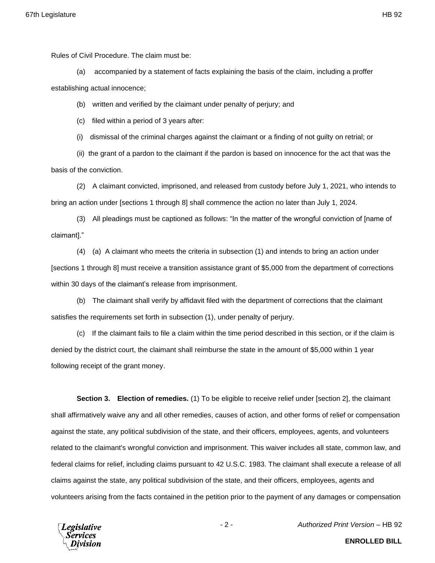Rules of Civil Procedure. The claim must be:

(a) accompanied by a statement of facts explaining the basis of the claim, including a proffer establishing actual innocence;

(b) written and verified by the claimant under penalty of perjury; and

(c) filed within a period of 3 years after:

(i) dismissal of the criminal charges against the claimant or a finding of not guilty on retrial; or

(ii) the grant of a pardon to the claimant if the pardon is based on innocence for the act that was the basis of the conviction.

(2) A claimant convicted, imprisoned, and released from custody before July 1, 2021, who intends to bring an action under [sections 1 through 8] shall commence the action no later than July 1, 2024.

(3) All pleadings must be captioned as follows: "In the matter of the wrongful conviction of [name of claimant]."

(4) (a) A claimant who meets the criteria in subsection (1) and intends to bring an action under [sections 1 through 8] must receive a transition assistance grant of \$5,000 from the department of corrections within 30 days of the claimant's release from imprisonment.

(b) The claimant shall verify by affidavit filed with the department of corrections that the claimant satisfies the requirements set forth in subsection (1), under penalty of perjury.

(c) If the claimant fails to file a claim within the time period described in this section, or if the claim is denied by the district court, the claimant shall reimburse the state in the amount of \$5,000 within 1 year following receipt of the grant money.

**Section 3. Election of remedies.** (1) To be eligible to receive relief under [section 2], the claimant shall affirmatively waive any and all other remedies, causes of action, and other forms of relief or compensation against the state, any political subdivision of the state, and their officers, employees, agents, and volunteers related to the claimant's wrongful conviction and imprisonment. This waiver includes all state, common law, and federal claims for relief, including claims pursuant to 42 U.S.C. 1983. The claimant shall execute a release of all claims against the state, any political subdivision of the state, and their officers, employees, agents and volunteers arising from the facts contained in the petition prior to the payment of any damages or compensation



**ENROLLED BILL**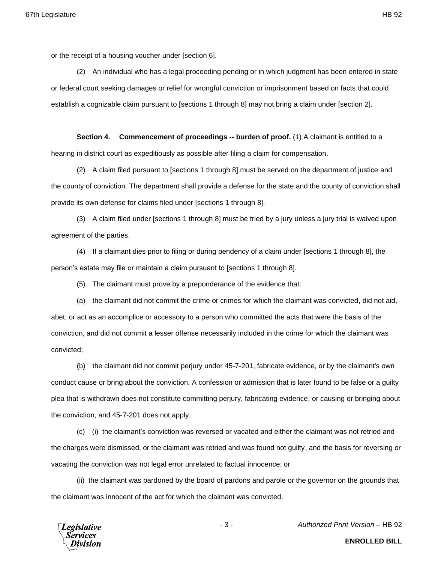or the receipt of a housing voucher under [section 6].

(2) An individual who has a legal proceeding pending or in which judgment has been entered in state or federal court seeking damages or relief for wrongful conviction or imprisonment based on facts that could establish a cognizable claim pursuant to [sections 1 through 8] may not bring a claim under [section 2].

**Section 4. Commencement of proceedings -- burden of proof.** (1) A claimant is entitled to a hearing in district court as expeditiously as possible after filing a claim for compensation.

(2) A claim filed pursuant to [sections 1 through 8] must be served on the department of justice and the county of conviction. The department shall provide a defense for the state and the county of conviction shall provide its own defense for claims filed under [sections 1 through 8].

(3) A claim filed under [sections 1 through 8] must be tried by a jury unless a jury trial is waived upon agreement of the parties.

(4) If a claimant dies prior to filing or during pendency of a claim under [sections 1 through 8], the person's estate may file or maintain a claim pursuant to [sections 1 through 8].

(5) The claimant must prove by a preponderance of the evidence that:

(a) the claimant did not commit the crime or crimes for which the claimant was convicted, did not aid, abet, or act as an accomplice or accessory to a person who committed the acts that were the basis of the conviction, and did not commit a lesser offense necessarily included in the crime for which the claimant was convicted;

(b) the claimant did not commit perjury under 45-7-201, fabricate evidence, or by the claimant's own conduct cause or bring about the conviction. A confession or admission that is later found to be false or a guilty plea that is withdrawn does not constitute committing perjury, fabricating evidence, or causing or bringing about the conviction, and 45-7-201 does not apply.

(c) (i) the claimant's conviction was reversed or vacated and either the claimant was not retried and the charges were dismissed, or the claimant was retried and was found not guilty, and the basis for reversing or vacating the conviction was not legal error unrelated to factual innocence; or

(ii) the claimant was pardoned by the board of pardons and parole or the governor on the grounds that the claimant was innocent of the act for which the claimant was convicted.



- 3 - *Authorized Print Version* – HB 92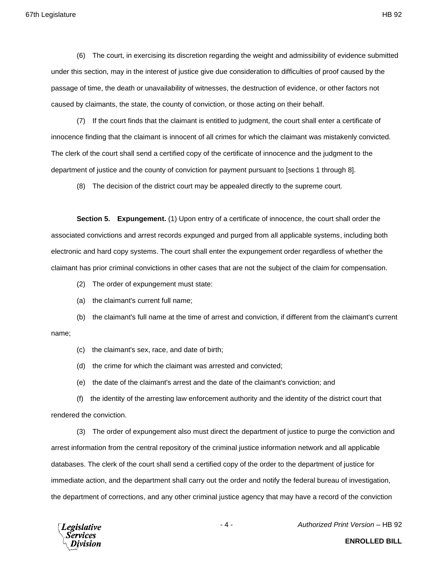(6) The court, in exercising its discretion regarding the weight and admissibility of evidence submitted under this section, may in the interest of justice give due consideration to difficulties of proof caused by the passage of time, the death or unavailability of witnesses, the destruction of evidence, or other factors not caused by claimants, the state, the county of conviction, or those acting on their behalf.

(7) If the court finds that the claimant is entitled to judgment, the court shall enter a certificate of innocence finding that the claimant is innocent of all crimes for which the claimant was mistakenly convicted. The clerk of the court shall send a certified copy of the certificate of innocence and the judgment to the department of justice and the county of conviction for payment pursuant to [sections 1 through 8].

(8) The decision of the district court may be appealed directly to the supreme court.

**Section 5. Expungement.** (1) Upon entry of a certificate of innocence, the court shall order the associated convictions and arrest records expunged and purged from all applicable systems, including both electronic and hard copy systems. The court shall enter the expungement order regardless of whether the claimant has prior criminal convictions in other cases that are not the subject of the claim for compensation.

- (2) The order of expungement must state:
- (a) the claimant's current full name;

(b) the claimant's full name at the time of arrest and conviction, if different from the claimant's current name;

- (c) the claimant's sex, race, and date of birth;
- (d) the crime for which the claimant was arrested and convicted;
- (e) the date of the claimant's arrest and the date of the claimant's conviction; and

(f) the identity of the arresting law enforcement authority and the identity of the district court that rendered the conviction.

(3) The order of expungement also must direct the department of justice to purge the conviction and arrest information from the central repository of the criminal justice information network and all applicable databases. The clerk of the court shall send a certified copy of the order to the department of justice for immediate action, and the department shall carry out the order and notify the federal bureau of investigation, the department of corrections, and any other criminal justice agency that may have a record of the conviction



- 4 - *Authorized Print Version* – HB 92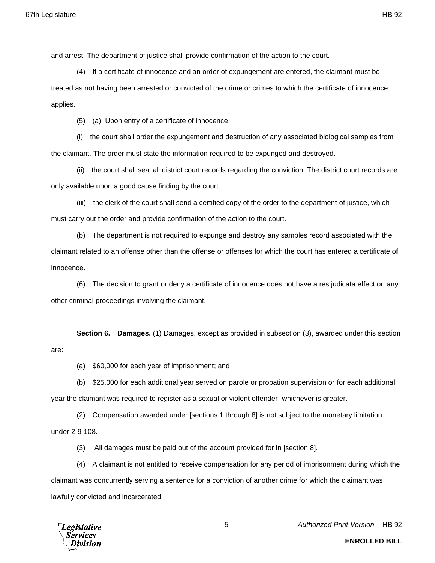and arrest. The department of justice shall provide confirmation of the action to the court.

(4) If a certificate of innocence and an order of expungement are entered, the claimant must be treated as not having been arrested or convicted of the crime or crimes to which the certificate of innocence applies.

(5) (a) Upon entry of a certificate of innocence:

(i) the court shall order the expungement and destruction of any associated biological samples from the claimant. The order must state the information required to be expunged and destroyed.

(ii) the court shall seal all district court records regarding the conviction. The district court records are only available upon a good cause finding by the court.

(iii) the clerk of the court shall send a certified copy of the order to the department of justice, which must carry out the order and provide confirmation of the action to the court.

(b) The department is not required to expunge and destroy any samples record associated with the claimant related to an offense other than the offense or offenses for which the court has entered a certificate of innocence.

(6) The decision to grant or deny a certificate of innocence does not have a res judicata effect on any other criminal proceedings involving the claimant.

**Section 6. Damages.** (1) Damages, except as provided in subsection (3), awarded under this section are:

(a) \$60,000 for each year of imprisonment; and

(b) \$25,000 for each additional year served on parole or probation supervision or for each additional year the claimant was required to register as a sexual or violent offender, whichever is greater.

(2) Compensation awarded under [sections 1 through 8] is not subject to the monetary limitation under 2-9-108.

(3) All damages must be paid out of the account provided for in [section 8].

(4) A claimant is not entitled to receive compensation for any period of imprisonment during which the claimant was concurrently serving a sentence for a conviction of another crime for which the claimant was lawfully convicted and incarcerated.



- 5 - *Authorized Print Version* – HB 92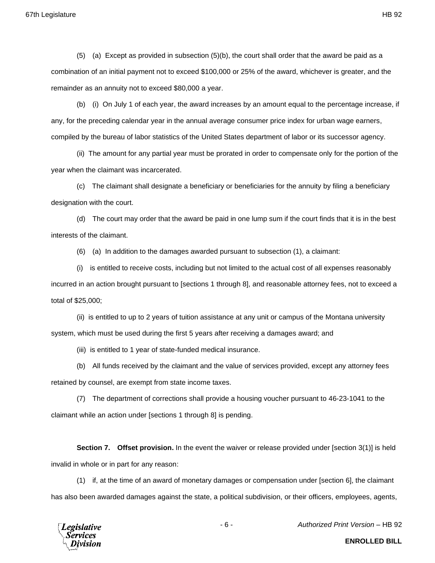(5) (a) Except as provided in subsection (5)(b), the court shall order that the award be paid as a combination of an initial payment not to exceed \$100,000 or 25% of the award, whichever is greater, and the remainder as an annuity not to exceed \$80,000 a year.

(b) (i) On July 1 of each year, the award increases by an amount equal to the percentage increase, if any, for the preceding calendar year in the annual average consumer price index for urban wage earners, compiled by the bureau of labor statistics of the United States department of labor or its successor agency.

(ii) The amount for any partial year must be prorated in order to compensate only for the portion of the year when the claimant was incarcerated.

(c) The claimant shall designate a beneficiary or beneficiaries for the annuity by filing a beneficiary designation with the court.

(d) The court may order that the award be paid in one lump sum if the court finds that it is in the best interests of the claimant.

(6) (a) In addition to the damages awarded pursuant to subsection (1), a claimant:

(i) is entitled to receive costs, including but not limited to the actual cost of all expenses reasonably incurred in an action brought pursuant to [sections 1 through 8], and reasonable attorney fees, not to exceed a total of \$25,000;

(ii) is entitled to up to 2 years of tuition assistance at any unit or campus of the Montana university system, which must be used during the first 5 years after receiving a damages award; and

(iii) is entitled to 1 year of state-funded medical insurance.

(b) All funds received by the claimant and the value of services provided, except any attorney fees retained by counsel, are exempt from state income taxes.

(7) The department of corrections shall provide a housing voucher pursuant to 46-23-1041 to the claimant while an action under [sections 1 through 8] is pending.

**Section 7. Offset provision.** In the event the waiver or release provided under [section 3(1)] is held invalid in whole or in part for any reason:

(1) if, at the time of an award of monetary damages or compensation under [section 6], the claimant has also been awarded damages against the state, a political subdivision, or their officers, employees, agents,



- 6 - *Authorized Print Version* – HB 92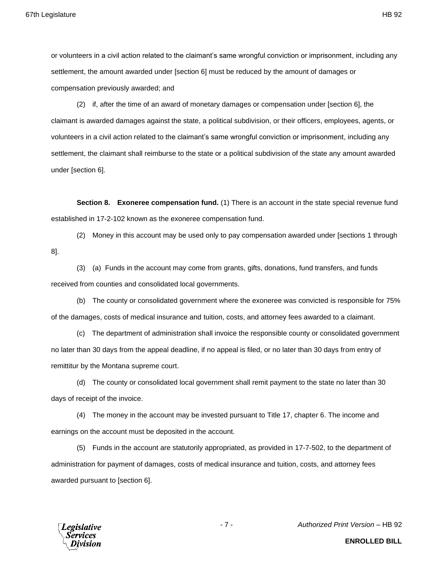or volunteers in a civil action related to the claimant's same wrongful conviction or imprisonment, including any settlement, the amount awarded under [section 6] must be reduced by the amount of damages or compensation previously awarded; and

(2) if, after the time of an award of monetary damages or compensation under [section 6], the claimant is awarded damages against the state, a political subdivision, or their officers, employees, agents, or volunteers in a civil action related to the claimant's same wrongful conviction or imprisonment, including any settlement, the claimant shall reimburse to the state or a political subdivision of the state any amount awarded under [section 6].

**Section 8. Exoneree compensation fund.** (1) There is an account in the state special revenue fund established in 17-2-102 known as the exoneree compensation fund.

(2) Money in this account may be used only to pay compensation awarded under [sections 1 through 8].

(3) (a) Funds in the account may come from grants, gifts, donations, fund transfers, and funds received from counties and consolidated local governments.

(b) The county or consolidated government where the exoneree was convicted is responsible for 75% of the damages, costs of medical insurance and tuition, costs, and attorney fees awarded to a claimant.

(c) The department of administration shall invoice the responsible county or consolidated government no later than 30 days from the appeal deadline, if no appeal is filed, or no later than 30 days from entry of remittitur by the Montana supreme court.

(d) The county or consolidated local government shall remit payment to the state no later than 30 days of receipt of the invoice.

(4) The money in the account may be invested pursuant to Title 17, chapter 6. The income and earnings on the account must be deposited in the account.

(5) Funds in the account are statutorily appropriated, as provided in 17-7-502, to the department of administration for payment of damages, costs of medical insurance and tuition, costs, and attorney fees awarded pursuant to [section 6].



- 7 - *Authorized Print Version* – HB 92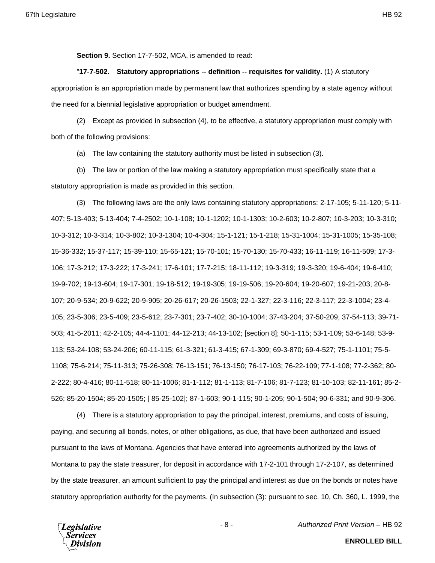**Section 9.** Section 17-7-502, MCA, is amended to read:

"**17-7-502. Statutory appropriations -- definition -- requisites for validity.** (1) A statutory appropriation is an appropriation made by permanent law that authorizes spending by a state agency without the need for a biennial legislative appropriation or budget amendment.

(2) Except as provided in subsection (4), to be effective, a statutory appropriation must comply with both of the following provisions:

(a) The law containing the statutory authority must be listed in subsection (3).

(b) The law or portion of the law making a statutory appropriation must specifically state that a statutory appropriation is made as provided in this section.

(3) The following laws are the only laws containing statutory appropriations: 2-17-105; 5-11-120; 5-11- 407; 5-13-403; 5-13-404; 7-4-2502; 10-1-108; 10-1-1202; 10-1-1303; 10-2-603; 10-2-807; 10-3-203; 10-3-310; 10-3-312; 10-3-314; 10-3-802; 10-3-1304; 10-4-304; 15-1-121; 15-1-218; 15-31-1004; 15-31-1005; 15-35-108; 15-36-332; 15-37-117; 15-39-110; 15-65-121; 15-70-101; 15-70-130; 15-70-433; 16-11-119; 16-11-509; 17-3- 106; 17-3-212; 17-3-222; 17-3-241; 17-6-101; 17-7-215; 18-11-112; 19-3-319; 19-3-320; 19-6-404; 19-6-410; 19-9-702; 19-13-604; 19-17-301; 19-18-512; 19-19-305; 19-19-506; 19-20-604; 19-20-607; 19-21-203; 20-8- 107; 20-9-534; 20-9-622; 20-9-905; 20-26-617; 20-26-1503; 22-1-327; 22-3-116; 22-3-117; 22-3-1004; 23-4- 105; 23-5-306; 23-5-409; 23-5-612; 23-7-301; 23-7-402; 30-10-1004; 37-43-204; 37-50-209; 37-54-113; 39-71- 503; 41-5-2011; 42-2-105; 44-4-1101; 44-12-213; 44-13-102; [section 8]; 50-1-115; 53-1-109; 53-6-148; 53-9- 113; 53-24-108; 53-24-206; 60-11-115; 61-3-321; 61-3-415; 67-1-309; 69-3-870; 69-4-527; 75-1-1101; 75-5- 1108; 75-6-214; 75-11-313; 75-26-308; 76-13-151; 76-13-150; 76-17-103; 76-22-109; 77-1-108; 77-2-362; 80- 2-222; 80-4-416; 80-11-518; 80-11-1006; 81-1-112; 81-1-113; 81-7-106; 81-7-123; 81-10-103; 82-11-161; 85-2- 526; 85-20-1504; 85-20-1505; [ 85-25-102]; 87-1-603; 90-1-115; 90-1-205; 90-1-504; 90-6-331; and 90-9-306.

(4) There is a statutory appropriation to pay the principal, interest, premiums, and costs of issuing, paying, and securing all bonds, notes, or other obligations, as due, that have been authorized and issued pursuant to the laws of Montana. Agencies that have entered into agreements authorized by the laws of Montana to pay the state treasurer, for deposit in accordance with 17-2-101 through 17-2-107, as determined by the state treasurer, an amount sufficient to pay the principal and interest as due on the bonds or notes have statutory appropriation authority for the payments. (In subsection (3): pursuant to sec. 10, Ch. 360, L. 1999, the



- 8 - *Authorized Print Version* – HB 92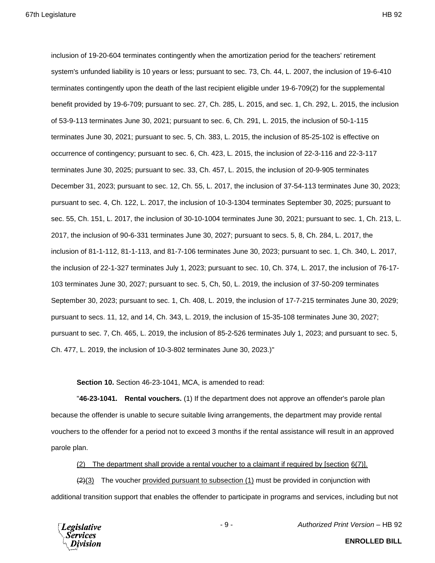inclusion of 19-20-604 terminates contingently when the amortization period for the teachers' retirement system's unfunded liability is 10 years or less; pursuant to sec. 73, Ch. 44, L. 2007, the inclusion of 19-6-410 terminates contingently upon the death of the last recipient eligible under 19-6-709(2) for the supplemental benefit provided by 19-6-709; pursuant to sec. 27, Ch. 285, L. 2015, and sec. 1, Ch. 292, L. 2015, the inclusion of 53-9-113 terminates June 30, 2021; pursuant to sec. 6, Ch. 291, L. 2015, the inclusion of 50-1-115 terminates June 30, 2021; pursuant to sec. 5, Ch. 383, L. 2015, the inclusion of 85-25-102 is effective on occurrence of contingency; pursuant to sec. 6, Ch. 423, L. 2015, the inclusion of 22-3-116 and 22-3-117 terminates June 30, 2025; pursuant to sec. 33, Ch. 457, L. 2015, the inclusion of 20-9-905 terminates December 31, 2023; pursuant to sec. 12, Ch. 55, L. 2017, the inclusion of 37-54-113 terminates June 30, 2023; pursuant to sec. 4, Ch. 122, L. 2017, the inclusion of 10-3-1304 terminates September 30, 2025; pursuant to sec. 55, Ch. 151, L. 2017, the inclusion of 30-10-1004 terminates June 30, 2021; pursuant to sec. 1, Ch. 213, L. 2017, the inclusion of 90-6-331 terminates June 30, 2027; pursuant to secs. 5, 8, Ch. 284, L. 2017, the inclusion of 81-1-112, 81-1-113, and 81-7-106 terminates June 30, 2023; pursuant to sec. 1, Ch. 340, L. 2017, the inclusion of 22-1-327 terminates July 1, 2023; pursuant to sec. 10, Ch. 374, L. 2017, the inclusion of 76-17- 103 terminates June 30, 2027; pursuant to sec. 5, Ch, 50, L. 2019, the inclusion of 37-50-209 terminates September 30, 2023; pursuant to sec. 1, Ch. 408, L. 2019, the inclusion of 17-7-215 terminates June 30, 2029; pursuant to secs. 11, 12, and 14, Ch. 343, L. 2019, the inclusion of 15-35-108 terminates June 30, 2027; pursuant to sec. 7, Ch. 465, L. 2019, the inclusion of 85-2-526 terminates July 1, 2023; and pursuant to sec. 5, Ch. 477, L. 2019, the inclusion of 10-3-802 terminates June 30, 2023.)"

**Section 10.** Section 46-23-1041, MCA, is amended to read:

"**46-23-1041. Rental vouchers.** (1) If the department does not approve an offender's parole plan because the offender is unable to secure suitable living arrangements, the department may provide rental vouchers to the offender for a period not to exceed 3 months if the rental assistance will result in an approved parole plan.

(2) The department shall provide a rental voucher to a claimant if required by [section 6(7)].

 $(2)(3)$  The voucher provided pursuant to subsection (1) must be provided in conjunction with additional transition support that enables the offender to participate in programs and services, including but not



- 9 - *Authorized Print Version* – HB 92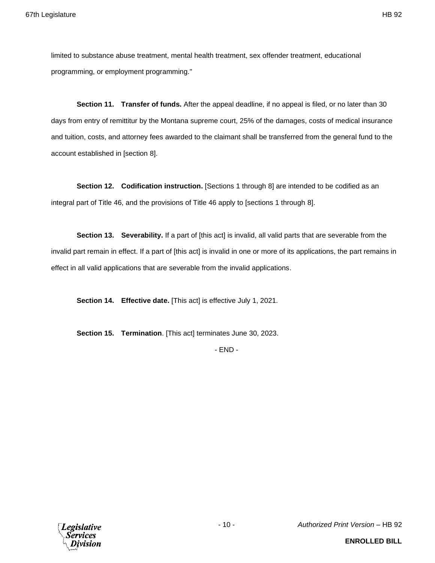limited to substance abuse treatment, mental health treatment, sex offender treatment, educational programming, or employment programming."

**Section 11. Transfer of funds.** After the appeal deadline, if no appeal is filed, or no later than 30 days from entry of remittitur by the Montana supreme court, 25% of the damages, costs of medical insurance and tuition, costs, and attorney fees awarded to the claimant shall be transferred from the general fund to the account established in [section 8].

**Section 12. Codification instruction.** [Sections 1 through 8] are intended to be codified as an integral part of Title 46, and the provisions of Title 46 apply to [sections 1 through 8].

**Section 13.** Severability. If a part of [this act] is invalid, all valid parts that are severable from the invalid part remain in effect. If a part of [this act] is invalid in one or more of its applications, the part remains in effect in all valid applications that are severable from the invalid applications.

**Section 14. Effective date.** [This act] is effective July 1, 2021.

**Section 15. Termination**. [This act] terminates June 30, 2023.

- END -

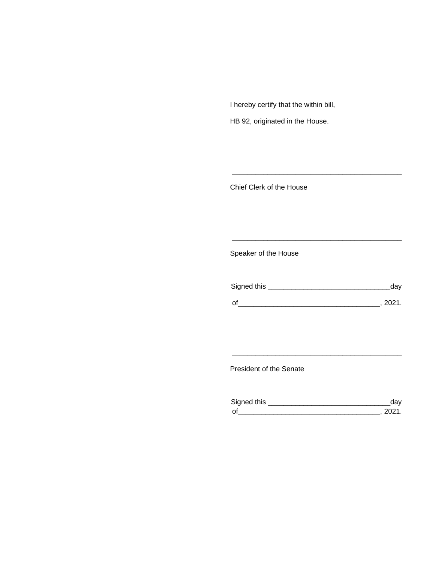I hereby certify that the within bill,

HB 92, originated in the House.

Chief Clerk of the House

Speaker of the House

| Signed this | day  |
|-------------|------|
| $\Omega$    | 2021 |

\_\_\_\_\_\_\_\_\_\_\_\_\_\_\_\_\_\_\_\_\_\_\_\_\_\_\_\_\_\_\_\_\_\_\_\_\_\_\_\_\_\_\_

\_\_\_\_\_\_\_\_\_\_\_\_\_\_\_\_\_\_\_\_\_\_\_\_\_\_\_\_\_\_\_\_\_\_\_\_\_\_\_\_\_\_\_

President of the Senate

| Sianed this |  |
|-------------|--|
| $\Omega$    |  |

\_\_\_\_\_\_\_\_\_\_\_\_\_\_\_\_\_\_\_\_\_\_\_\_\_\_\_\_\_\_\_\_\_\_\_\_\_\_\_\_\_\_\_